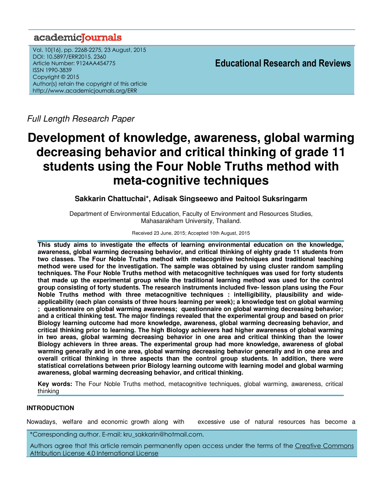## academicJournals

Vol. 10(16), pp. 2268-2275, 23 August, 2015 DOI: 10.5897/ERR2015. 2360 Article Number: 9124AA454775 ISSN 1990-3839 Copyright © 2015 Author(s) retain the copyright of this article http://www.academicjournals.org/ERR

**Educational Research and Reviews**

Full Length Research Paper

# **Development of knowledge, awareness, global warming decreasing behavior and critical thinking of grade 11 students using the Four Noble Truths method with meta-cognitive techniques**

**Sakkarin Chattuchai\*, Adisak Singseewo and Paitool Suksringarm**

Department of Environmental Education, Faculty of Environment and Resources Studies, Mahasarakham University, Thailand.

## Received 23 June, 2015; Accepted 10th August, 2015

**This study aims to investigate the effects of learning environmental education on the knowledge, awareness, global warming decreasing behavior, and critical thinking of eighty grade 11 students from two classes. The Four Noble Truths method with metacognitive techniques and traditional teaching method were used for the investigation. The sample was obtained by using cluster random sampling techniques. The Four Noble Truths method with metacognitive techniques was used for forty students that made up the experimental group while the traditional learning method was used for the control group consisting of forty students. The research instruments included five- lesson plans using the Four Noble Truths method with three metacognitive techniques : intelligibility, plausibility and wideapplicability (each plan consists of three hours learning per week); a knowledge test on global warming ; questionnaire on global warming awareness; questionnaire on global warming decreasing behavior; and a critical thinking test. The major findings revealed that the experimental group and based on prior Biology learning outcome had more knowledge, awareness, global warming decreasing behavior, and critical thinking prior to learning. The high Biology achievers had higher awareness of global warming in two areas, global warming decreasing behavior in one area and critical thinking than the lower Biology achievers in three areas. The experimental group had more knowledge, awareness of global warming generally and in one area, global warming decreasing behavior generally and in one area and overall critical thinking in three aspects than the control group students. In addition, there were statistical correlations between prior Biology learning outcome with learning model and global warming awareness, global warming decreasing behavior, and critical thinking.** 

**Key words:** The Four Noble Truths method, metacognitive techniques, global warming, awareness, critical thinking

## **INTRODUCTION**

Nowadays, welfare and economic growth along with excessive use of natural resources has become a

\*Corresponding author. E-mail: kru\_sakkarin@hotmail.com.

Authors agree that this article remain permanently open access under the terms of the Creative Commons Attribution License 4.0 International License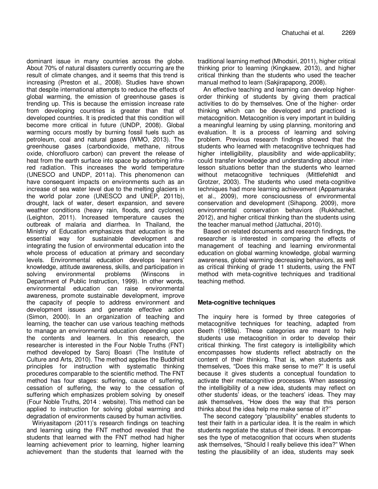dominant issue in many countries across the globe. About 70% of natural disasters currently occurring are the result of climate changes, and it seems that this trend is increasing (Preston et al., 2008). Studies have shown that despite international attempts to reduce the effects of global warming, the emission of greenhouse gases is trending up. This is because the emission increase rate from developing countries is greater than that of developed countries. It is predicted that this condition will become more critical in future (UNDP, 2008). Global warming occurs mostly by burning fossil fuels such as petroleum, coal and natural gases (WMO, 2013). The greenhouse gases (carbondioxide, methane, nitrous oxide, chlorofluoro carbon) can prevent the release of heat from the earth surface into space by adsorbing infrared radiation. This increases the world temperature (UNESCO and UNDP, 2011a). This phenomenon can have consequent impacts on environments such as an increase of sea water level due to the melting glaciers in the world polar zone (UNESCO and UNEP, 2011b), drought, lack of water, desert expansion, and severe weather conditions (heavy rain, floods, and cyclones) (Leighton, 2011). Increased temperature causes the outbreak of malaria and diarrhea. In Thailand, the Ministry of Education emphasizes that education is the essential way for sustainable development and integrating the fusion of environmental education into the whole process of education at primary and secondary levels. Environmental education develops learners' knowledge, attitude awareness, skills, and participation in solving environmental problems (Winscons in Department of Public Instruction, 1999). In other words, environmental education can raise environmental awareness, promote sustainable development, improve the capacity of people to address environment and development issues and generate effective action (Simon, 2000). In an organization of teaching and learning, the teacher can use various teaching methods to manage an environmental education depending upon the contents and learners. In this research, the researcher is interested in the Four Noble Truths (FNT) method developed by Saroj Boasri (The Institute of Culture and Arts, 2010). The method applies the Buddhist principles for instruction with systematic thinking procedures comparable to the scientific method. The FNT method has four stages: suffering, cause of suffering, cessation of suffering, the way to the cessation of suffering which emphasizes problem solving by oneself (Four Noble Truths, 2014 : website). This method can be applied to instruction for solving global warming and degradation of environments caused by human activities.

 Wiriyasitaporn (2011)'s research findings on teaching and learning using the FNT method revealed that the students that learned with the FNT method had higher learning achievement prior to learning, higher learning achievement than the students that learned with the

traditional learning method (Mhodsiri, 2011), higher critical thinking prior to learning (Kingkaew, 2013), and higher critical thinking than the students who used the teacher manual method to learn (Sakjirapapong, 2008).

 An effective teaching and learning can develop higherorder thinking of students by giving them practical activities to do by themselves. One of the higher- order thinking which can be developed and practiced is metacognition. Metacognition is very important in building a meaningful learning by using planning, monitoring and evaluation. It is a process of learning and solving problem. Previous research findings showed that the students who learned with metacognitive techniques had higher intelligibility, plausibility and wide-applicability; could transfer knowledge and understanding about interlesson situations better than the students who learned without metacognitive techniques (Mittlefehldt and Grotzer, 2003). The students who used meta-cognitive techniques had more learning achievement (Appamaraka et al., 2009), more consciousness of environmental conservation and development (Sihapong. 2009), more environmental conservation behaviors (Rukkhachet. 2012), and higher critical thinking than the students using the teacher manual method (Jattuchai, 2010).

 Based on related documents and research findings, the researcher is interested in comparing the effects of management of teaching and learning environmental education on global warming knowledge, global warming awareness, global warming decreasing behaviors, as well as critical thinking of grade 11 students, using the FNT method with meta-cognitive techniques and traditional teaching method.

## **Meta-cognitive techniques**

The inquiry here is formed by three categories of metacognitive techniques for teaching, adapted from Beeth (1989a). These categories are meant to help students use metacognition in order to develop their critical thinking. The first category is intelligibility which encompasses how students reflect abstractly on the content of their thinking. That is, when students ask themselves, "Does this make sense to me?" It is useful because it gives students a conceptual foundation to activate their metacognitive processes. When assessing the intelligibility of a new idea, students may reflect on other students' ideas, or the teachers' ideas. They may ask themselves, "How does the way that this person thinks about the idea help me make sense of it?''

 The second category "plausibility" enables students to test their faith in a particular idea. It is the realm in which students negotiate the status of their ideas. It encompasses the type of metacognition that occurs when students ask themselves, "Should I really believe this idea?" When testing the plausibility of an idea, students may seek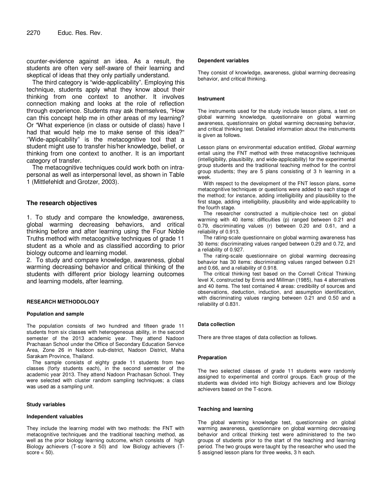counter-evidence against an idea. As a result, the students are often very self-aware of their learning and skeptical of ideas that they only partially understand.

 The third category is "wide-applicability". Employing this technique, students apply what they know about their thinking from one context to another. It involves connection making and looks at the role of reflection through experience. Students may ask themselves, "How can this concept help me in other areas of my learning? Or "What experience (in class or outside of class) have I had that would help me to make sense of this idea?" ''Wide-applicability" is the metacognitive tool that a student might use to transfer his/her knowledge, belief, or thinking from one context to another. It is an important category of transfer.

 The metacognitive techniques could work both on intrapersonal as well as interpersonal level, as shown in Table 1 (Mittlefehldt and Grotzer, 2003).

### **The research objectives**

1. To study and compare the knowledge, awareness, global warming decreasing behaviors, and critical thinking before and after learning using the Four Noble Truths method with metacognitive techniques of grade 11 student as a whole and as classified according to prior biology outcome and learning model.

2. To study and compare knowledge, awareness, global warming decreasing behavior and critical thinking of the students with different prior biology learning outcomes and learning models, after learning.

#### **RESEARCH METHODOLOGY**

#### **Population and sample**

The population consists of two hundred and fifteen grade 11 students from six classes with heterogeneous ability, in the second semester of the 2013 academic year. They attend Nadoon Prachasan School under the Office of Secondary Education Service Area, Zone 26 in Nadoon sub-district, Nadoon District, Maha Sarakam Province, Thailand.

The sample consists of eighty grade 11 students from two classes (forty students each), in the second semester of the academic year 2013. They attend Nadoon Prachasan School. They were selected with cluster random sampling techniques; a class was used as a sampling unit.

#### **Study variables**

#### **Independent valuables**

They include the learning model with two methods: the FNT with metacognitive techniques and the traditional teaching method, as well as the prior biology learning outcome, which consists of high Biology achievers (T-score  $\geq$  50) and low Biology achievers (Tscore  $<$  50).

#### **Dependent variables**

They consist of knowledge, awareness, global warming decreasing behavior, and critical thinking.

#### **Instrument**

The instruments used for the study include lesson plans, a test on global warming knowledge, questionnaire on global warming awareness, questionnaire on global warming decreasing behavior, and critical thinking test. Detailed information about the instruments is given as follows.

Lesson plans on environmental education entitled, Global warming entail using the FNT method with three metacognitive techniques (intelligibility, plausibility, and wide-applicability) for the experimental group students and the traditional teaching method for the control group students; they are 5 plans consisting of 3 h learning in a week.

 With respect to the development of the FNT lesson plans, some metacognitive techniques or questions were added to each stage of the method; for instance, adding intelligibility and plausibility to the first stage, adding intelligibility, plausibility and wide-applicability to the fourth stage.

The researcher constructed a multiple-choice test on global warming with 40 items: difficulties (p) ranged between 0.21 and 0.79, discriminating values (r) between 0.20 and 0.61, and a reliability of 0.913.

The rating-scale questionnaire on global warming awareness has 30 items: discriminating values ranged between 0.29 and 0.72, and a reliability of 0.927.

The rating-scale questionnaire on global warming decreasing behavior has 30 items: discriminating values ranged between 0.21 and 0.66, and a reliability of 0.918.

The critical thinking test based on the Cornell Critical Thinking level X, constructed by Ennis and Millman (1985), has 4 alternatives and 40 items. The test contained 4 areas: credibility of sources and observations, deduction, induction, and assumption identification, with discriminating values ranging between 0.21 and 0.50 and a reliability of 0.831.

#### **Data collection**

There are three stages of data collection as follows.

#### **Preparation**

The two selected classes of grade 11 students were randomly assigned to experimental and control groups. Each group of the students was divided into high Biology achievers and low Biology achievers based on the T-score.

#### **Teaching and learning**

The global warming knowledge test, questionnaire on global warming awareness, questionnaire on global warming decreasing behavior and critical thinking test were administered to the two groups of students prior to the start of the teaching and learning period. The two groups were taught by the researcher who used the 5 assigned lesson plans for three weeks, 3 h each.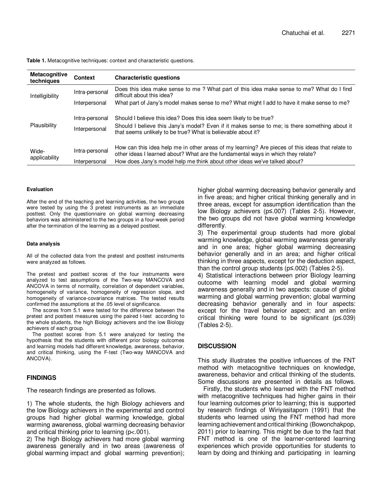| Table 1. Metacognitive techniques: context and characteristic questions. |  |
|--------------------------------------------------------------------------|--|
|--------------------------------------------------------------------------|--|

| <b>Metacognitive</b><br>techniques | <b>Context</b> | <b>Characteristic questions</b>                                                                                                                                                      |
|------------------------------------|----------------|--------------------------------------------------------------------------------------------------------------------------------------------------------------------------------------|
| Intelligibility                    | Intra-personal | Does this idea make sense to me? What part of this idea make sense to me? What do I find<br>difficult about this idea?                                                               |
|                                    | Interpersonal  | What part of Jany's model makes sense to me? What might I add to have it make sense to me?                                                                                           |
|                                    | Intra-personal | Should I believe this idea? Does this idea seem likely to be true?                                                                                                                   |
| Plausibility                       | Interpersonal  | Should I believe this Jany's model? Even if it makes sense to me; is there something about it<br>that seems unlikely to be true? What is believable about it?                        |
| Wide-                              | Intra-personal | How can this idea help me in other areas of my learning? Are pieces of this ideas that relate to<br>other ideas I learned about? What are the fundamental ways in which they relate? |
| applicability                      | Interpersonal  | How does Jany's model help me think about other ideas we've talked about?                                                                                                            |

#### **Evaluation**

After the end of the teaching and learning activities, the two groups were tested by using the 3 pretest instruments as an immediate posttest. Only the questionnaire on global warming decreasing behaviors was administered to the two groups in a four-week period after the termination of the learning as a delayed posttest.

#### **Data analysis**

All of the collected data from the pretest and posttest instruments were analyzed as follows.

The pretest and posttest scores of the four instruments were analyzed to test assumptions of the Two-way MANCOVA and ANCOVA in terms of normality, correlation of dependent variables, homogeneity of variance, homogeneity of regression slope, and homogeneity of variance-covariance matrices. The tested results confirmed the assumptions at the .05 level of significance.

The scores from 5.1 were tested for the difference between the pretest and posttest measures using the paired t-test according to the whole students, the high Biology achievers and the low Biology achievers of each group.

The posttest scores from 5.1 were analyzed for testing the hypothesis that the students with different prior biology outcomes and learning models had different knowledge, awareness, behavior, and critical thinking, using the F-test (Two-way MANCOVA and ANCOVA).

## **FINDINGS**

The research findings are presented as follows.

1) The whole students, the high Biology achievers and the low Biology achievers in the experimental and control groups had higher global warming knowledge, global warming awareness, global warming decreasing behavior and critical thinking prior to learning (p<.001).

2) The high Biology achievers had more global warming awareness generally and in two areas (awareness of global warming impact and global warming prevention);

higher global warming decreasing behavior generally and in five areas; and higher critical thinking generally and in three areas, except for assumption identification than the low Biology achievers (p≤.007) (Tables 2-5). However, the two groups did not have global warming knowledge differently.

3) The experimental group students had more global warming knowledge, global warming awareness generally and in one area; higher global warming decreasing behavior generally and in an area; and higher critical thinking in three aspects, except for the deduction aspect, than the control group students (p≤.002) (Tables 2-5).

4) Statistical interactions between prior Biology learning outcome with learning model and global warming awareness generally and in two aspects: cause of global warming and global warming prevention; global warming decreasing behavior generally and in four aspects: except for the travel behavior aspect; and an entire critical thinking were found to be significant (p≤.039) (Tables 2-5).

## **DISCUSSION**

This study illustrates the positive influences of the FNT method with metacognitive techniques on knowledge, awareness, behavior and critical thinking of the students. Some discussions are presented in details as follows.

 Firstly, the students who learned with the FNT method with metacognitive techniques had higher gains in their four learning outcomes prior to learning; this is supported by research findings of Wiriyasitaporn (1991) that the students who learned using the FNT method had more learning achievement and critical thinking (Bowonchakpop, 2011) prior to learning. This might be due to the fact that FNT method is one of the learner-centered learning experiences which provide opportunities for students to learn by doing and thinking and participating in learning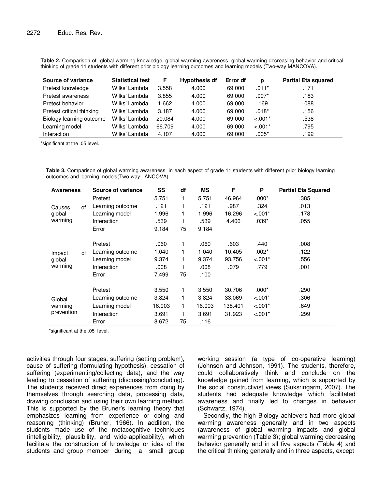| Source of variance        | <b>Statistical test</b> | F      | <b>Hypothesis df</b> | Error df | D         | <b>Partial Eta squared</b> |
|---------------------------|-------------------------|--------|----------------------|----------|-----------|----------------------------|
| Pretest knowledge         | Wilks' Lambda           | 3.558  | 4.000                | 69,000   | $.011*$   | .171                       |
| Pretest awareness         | Wilks' Lambda           | 3.855  | 4.000                | 69,000   | $.007*$   | .183                       |
| Pretest behavior          | Wilks' Lambda           | 1.662  | 4.000                | 69,000   | .169      | .088                       |
| Pretest critical thinking | Wilks' Lambda           | 3.187  | 4.000                | 69,000   | $.018*$   | .156                       |
| Biology learning outcome  | Wilks' Lambda           | 20.084 | 4.000                | 69,000   | $< .001*$ | .538                       |
| Learning model            | Wilks' Lambda           | 66.709 | 4.000                | 69,000   | $< .001*$ | .795                       |
| Interaction               | Wilks' Lambda           | 4.107  | 4.000                | 69.000   | $.005*$   | .192                       |

**Table 2.** Comparison of global warming knowledge, global warming awareness, global warming decreasing behavior and critical thinking of grade 11 students with different prior biology learning outcomes and learning models (Two-way MANCOVA).

\*significant at the .05 level.

**Table 3.** Comparison of global warming awareness in each aspect of grade 11 students with different prior biology learning outcomes and learning models(Two-way ANCOVA).

| <b>Awareness</b>                  | Source of variance | SS     | df | ΜS     | F       | P         | <b>Partial Eta Squared</b> |
|-----------------------------------|--------------------|--------|----|--------|---------|-----------|----------------------------|
| of<br>Causes<br>global<br>warming | Pretest            | 5.751  | 1  | 5.751  | 46.964  | $.000*$   | .385                       |
|                                   | Learning outcome   | .121   |    | .121   | .987    | .324      | .013                       |
|                                   | Learning model     | 1.996  |    | 1.996  | 16.296  | $< .001*$ | .178                       |
|                                   | Interaction        | .539   | 1  | .539   | 4.406   | $.039*$   | .055                       |
|                                   | Error              | 9.184  | 75 | 9.184  |         |           |                            |
| of<br>Impact<br>global<br>warming | Pretest            | .060   | 1  | .060   | .603    | .440      | .008                       |
|                                   | Learning outcome   | 1.040  | 1  | 1.040  | 10.405  | $.002*$   | .122                       |
|                                   | Learning model     | 9.374  |    | 9.374  | 93.756  | $< .001*$ | .556                       |
|                                   | Interaction        | .008   | 1  | .008   | .079    | .779      | .001                       |
|                                   | Error              | 7.499  | 75 | .100   |         |           |                            |
|                                   | Pretest            | 3.550  | 1  | 3.550  | 30.706  | $.000*$   | .290                       |
| Global<br>warming<br>prevention   | Learning outcome   | 3.824  | 1  | 3.824  | 33.069  | $< .001*$ | .306                       |
|                                   | Learning model     | 16.003 | 1  | 16.003 | 138.401 | $< .001*$ | .649                       |
|                                   | Interaction        | 3.691  | 1  | 3.691  | 31.923  | $-.001*$  | .299                       |
|                                   | Error              | 8.672  | 75 | .116   |         |           |                            |

\*significant at the .05 level.

activities through four stages: suffering (setting problem), cause of suffering (formulating hypothesis), cessation of suffering (experimenting/collecting data), and the way leading to cessation of suffering (discussing/concluding). The students received direct experiences from doing by themselves through searching data, processing data, drawing conclusion and using their own learning method. This is supported by the Bruner's learning theory that emphasizes learning from experience or doing and reasoning (thinking) (Bruner, 1966). In addition, the students made use of the metacognitive techniques (intelligibility, plausibility, and wide-applicability), which facilitate the construction of knowledge or idea of the students and group member during a small group working session (a type of co-operative learning) (Johnson and Johnson, 1991). The students, therefore, could collaboratively think and conclude on the knowledge gained from learning, which is supported by the social constructivist views (Suksringarm, 2007). The students had adequate knowledge which facilitated awareness and finally led to changes in behavior (Schwartz, 1974).

Secondly, the high Biology achievers had more global warming awareness generally and in two aspects (awareness of global warming impacts and global warming prevention (Table 3); global warming decreasing behavior generally and in all five aspects (Table 4) and the critical thinking generally and in three aspects, except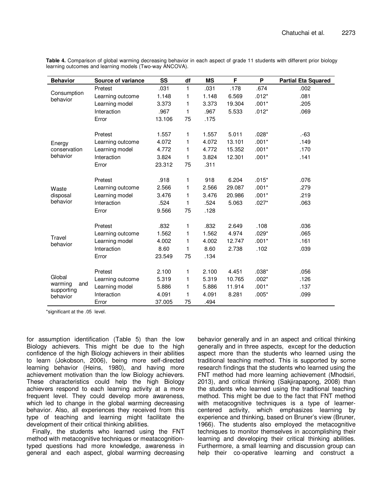| <b>Partial Eta Squared</b> |
|----------------------------|
| .002                       |
| .081                       |
| .205                       |
| .069                       |
|                            |
| .-63                       |
| .149                       |
| .170                       |
| .141                       |
|                            |
|                            |
| .076                       |
| .279                       |
| .219                       |
| .063                       |
|                            |
|                            |
| .036                       |
| .065                       |
| .161                       |
| .039                       |
|                            |
| .056                       |
| .126                       |
| .137                       |
| .099                       |
|                            |
|                            |

**Table 4.** Comparison of global warming decreasing behavior in each aspect of grade 11 students with different prior biology learning outcomes and learning models (Two-way ANCOVA).

\*significant at the .05 level.

for assumption identification (Table 5) than the low Biology achievers. This might be due to the high confidence of the high Biology achievers in their abilities to learn (Jokobson, 2006), being more self-directed learning behavior (Heins, 1980), and having more achievement motivation than the low Biology achievers. These characteristics could help the high Biology achievers respond to each learning activity at a more frequent level. They could develop more awareness, which led to change in the global warming decreasing behavior. Also, all experiences they received from this type of teaching and learning might facilitate the development of their critical thinking abilities.

 Finally, the students who learned using the FNT method with metacognitive techniques or meatacognitiontyped questions had more knowledge, awareness in general and each aspect, global warming decreasing

behavior generally and in an aspect and critical thinking generally and in three aspects, except for the deduction aspect more than the students who learned using the traditional teaching method. This is supported by some research findings that the students who learned using the FNT method had more learning achievement (Mhodsiri, 2013), and critical thinking (Sakjirapapong, 2008) than the students who learned using the traditional teaching method. This might be due to the fact that FNT method with metacognitive techniques is a type of learnercentered activity, which emphasizes learning by experience and thinking, based on Bruner's view (Bruner, 1966). The students also employed the metacognitive techniques to monitor themselves in accomplishing their learning and developing their critical thinking abilities. Furthermore, a small learning and discussion group can help their co-operative learning and construct a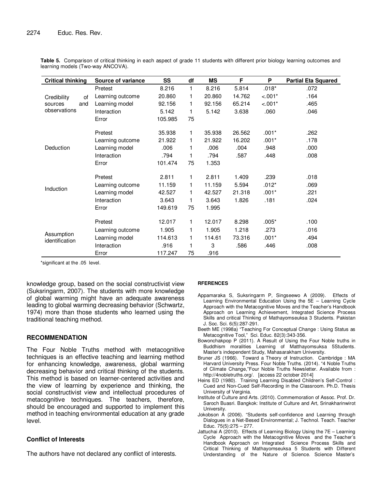| <b>Critical thinking</b>       | <b>Source of variance</b> | <b>SS</b> | df | MS     | F      | P        | <b>Partial Eta Squared</b> |
|--------------------------------|---------------------------|-----------|----|--------|--------|----------|----------------------------|
|                                |                           |           |    |        |        |          |                            |
|                                | Pretest                   | 8.216     | 1  | 8.216  | 5.814  | $.018*$  | .072                       |
| Credibility<br>0f              | Learning outcome          | 20.860    | 1  | 20.860 | 14.762 | $-.001*$ | .164                       |
| and<br>sources<br>observations | Learning model            | 92.156    | 1  | 92.156 | 65.214 | $-.001*$ | .465                       |
|                                | Interaction               | 5.142     | 1  | 5.142  | 3.638  | .060     | .046                       |
|                                | Error                     | 105.985   | 75 |        |        |          |                            |
|                                | Pretest                   | 35.938    | 1. | 35.938 | 26.562 | $.001*$  | .262                       |
|                                | Learning outcome          | 21.922    | 1  | 21.922 | 16.202 | $.001*$  | .178                       |
| Deduction                      | Learning model            | .006      | 1  | .006   | .004   | .948     | .000                       |
|                                | Interaction               | .794      | 1  | .794   | .587   | .448     | .008                       |
|                                | Error                     | 101.474   | 75 | 1.353  |        |          |                            |
|                                | Pretest                   | 2.811     | 1  | 2.811  | 1.409  | .239     | .018                       |
|                                | Learning outcome          | 11.159    | 1  | 11.159 | 5.594  | $.012*$  | .069                       |
| Induction                      | Learning model            | 42.527    | 1  | 42.527 | 21.318 | $.001*$  | .221                       |
|                                | Interaction               | 3.643     | 1  | 3.643  | 1.826  | .181     | .024                       |
|                                | Error                     | 149.619   | 75 | 1.995  |        |          |                            |
| Assumption<br>identification   | Pretest                   | 12.017    | 1  | 12.017 | 8.298  | $.005*$  | .100                       |
|                                | Learning outcome          | 1.905     | 1  | 1.905  | 1.218  | .273     | .016                       |
|                                | Learning model            | 114.613   | 1  | 114.61 | 73.316 | $.001*$  | .494                       |
|                                | Interaction               | .916      | 1  | 3      | .586   | .446     | .008                       |
|                                | Error                     | 117.247   | 75 | .916   |        |          |                            |

**Table 5.** Comparison of critical thinking in each aspect of grade 11 students with different prior biology learning outcomes and learning models (Two-way ANCOVA).

\*significant at the .05 level.

knowledge group, based on the social constructivist view (Suksringarm, 2007). The students with more knowledge of global warming might have an adequate awareness leading to global warming decreasing behavior (Schwartz, 1974) more than those students who learned using the traditional teaching method.

## **RECOMMENDATION**

The Four Noble Truths method with metacognitive techniques is an effective teaching and learning method for enhancing knowledge, awareness, global warming decreasing behavior and critical thinking of the students. This method is based on learner-centered activities and the view of learning by experience and thinking, the social constructivist view and intellectual procedures of metacognitive techniques. The teachers, therefore, should be encouraged and supported to implement this method in teaching environmental education at any grade level.

## **Conflict of Interests**

The authors have not declared any conflict of interests.

## **RFERENCES**

- Appamaraka S, Suksringarm P, Singseewo A (2009). Effects of Learning Environmental Education Using the 5E – Learning Cycle Approach with the Metacognitive Moves and the Teacher's Handbook Approach on Learning Achievement, Integrated Science Process Skills and critical Thinking of Mathayomseuksa 3 Students. Pakistan J. Soc. Sci. 6(5):287-291.
- Beeth ME (1998a) "Teaching For Conceptual Change : Using Status as Metacognitive Tool," Sci. Educ. 82(3):343-356.
- Bowonchakpop P (2011). A Result of Using the Four Noble truths in Buddhism moralities Learning of Matthayomsuksa 5Students. Master's independent Study, Mahasarakham University.
- Bruner JS (1966). Toward a Theory of Instruction. Cambridge : MA Harvard University Press. Four Noble Truths. (2014). "4 Noble Truths of Climate Change,"Four Noble Truths Newsletter. Available from : http://4nobletruths.org/. [access 22 october 2014]
- Heins ED (1980). Training Learning Disabled Children's Self-Control : Cued and Non-Cued Self-Recording in the Classroom. Ph.D. Thesis University of Verginia.
- Institute of Culture and Arts. (2010). Commemoration of Assoc. Prof. Dr. Saroch Buasri. Bangkok: Institute of Culture and Art, Srinakharinwirot University.
- Jokobson A (2006). "Students self-confidence and Learning through Dialogues in a Net-Besed Environmental; J. Technol. Teach. Teacher Educ. 75(5):275 – 277.
- Jattuchai A (2010). Effects of Learning Biology Using the 7E Learning Cycle Approach with the Metacognitive Moves and the Teacher's Handbook Approach on Integrated Science Process Skills and Critical Thinking of Mathayomseuksa 5 Students with Different Understanding of the Nature of Science. Science Master's